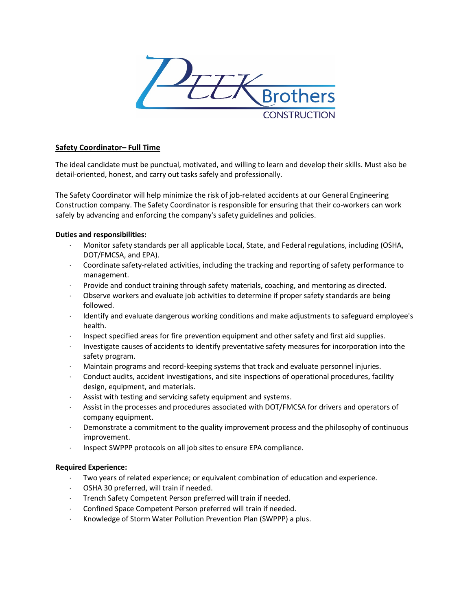

# **Safety Coordinator– Full Time**

The ideal candidate must be punctual, motivated, and willing to learn and develop their skills. Must also be detail-oriented, honest, and carry out tasks safely and professionally.

The Safety Coordinator will help minimize the risk of job-related accidents at our General Engineering Construction company. The Safety Coordinator is responsible for ensuring that their co-workers can work safely by advancing and enforcing the company's safety guidelines and policies.

# **Duties and responsibilities:**

- ⋅ Monitor safety standards per all applicable Local, State, and Federal regulations, including (OSHA, DOT/FMCSA, and EPA).
- ⋅ Coordinate safety-related activities, including the tracking and reporting of safety performance to management.
- ⋅ Provide and conduct training through safety materials, coaching, and mentoring as directed.
- ⋅ Observe workers and evaluate job activities to determine if proper safety standards are being followed.
- Identify and evaluate dangerous working conditions and make adjustments to safeguard employee's health.
- ⋅ Inspect specified areas for fire prevention equipment and other safety and first aid supplies.
- Investigate causes of accidents to identify preventative safety measures for incorporation into the safety program.
- Maintain programs and record-keeping systems that track and evaluate personnel injuries.
- Conduct audits, accident investigations, and site inspections of operational procedures, facility design, equipment, and materials.
- Assist with testing and servicing safety equipment and systems.
- Assist in the processes and procedures associated with DOT/FMCSA for drivers and operators of company equipment.
- Demonstrate a commitment to the quality improvement process and the philosophy of continuous improvement.
- ⋅ Inspect SWPPP protocols on all job sites to ensure EPA compliance.

#### **Required Experience:**

- Two years of related experience; or equivalent combination of education and experience.
- OSHA 30 preferred, will train if needed.
- ⋅ Trench Safety Competent Person preferred will train if needed.
- ⋅ Confined Space Competent Person preferred will train if needed.
- ⋅ Knowledge of Storm Water Pollution Prevention Plan (SWPPP) a plus.